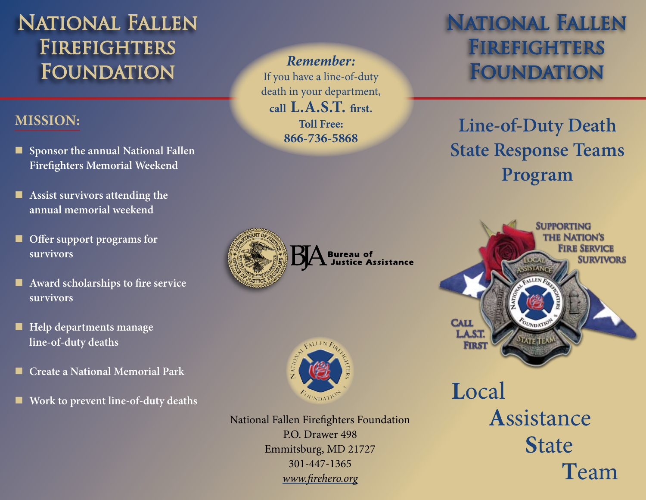# National Fallen Firefighters **FOUNDATION**

### **Mission:**

- **Sponsor the annual National Fallen Firefighters Memorial Weekend**
- **Assist survivors attending the annual memorial weekend**
- **Offer support programs for survivors**
- **Award scholarships to fire service survivors**
- **Help departments manage line-of-duty deaths**
- **Create a National Memorial Park** Ξ
- **Work to prevent line-of-duty deaths**

*Remember:* If you have a line-of-duty death in your department, **call L.A.S.T. first. Toll Free: 866-736-5868**



**Sureau of<br>L'Iustice Assistance** 



National Fallen Firefighters Foundation P.O. Drawer 498 Emmitsburg, MD 21727 301-447-1365 *www.firehero.org*

# National Fallen **FIREFIGHTERS FOUNDATION**

**Line-of-Duty Death State Response Teams Program**



**L**ocal **A**ssistance **S**tate **T**eam